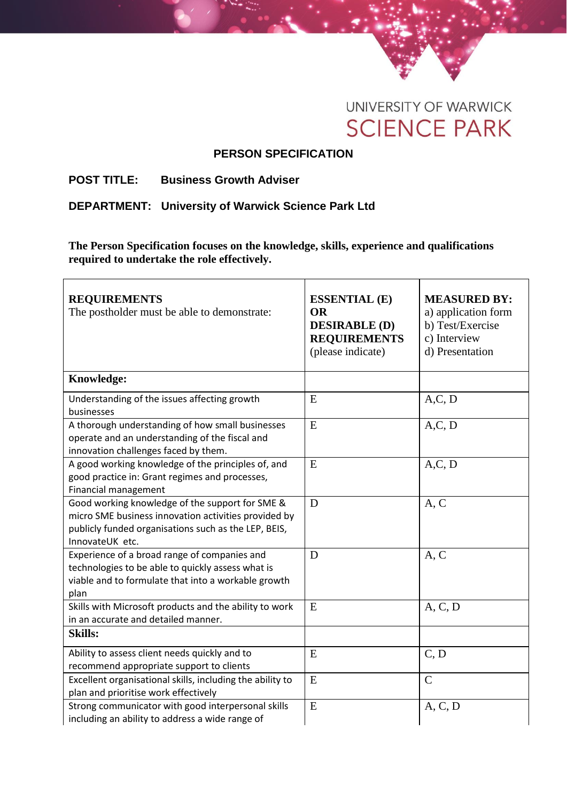

## **PERSON SPECIFICATION**

## **POST TITLE: Business Growth Adviser**

**DEPARTMENT: University of Warwick Science Park Ltd**

**The Person Specification focuses on the knowledge, skills, experience and qualifications required to undertake the role effectively.** 

| <b>REQUIREMENTS</b><br>The postholder must be able to demonstrate:                                                                                                                 | <b>ESSENTIAL (E)</b><br><b>OR</b><br><b>DESIRABLE (D)</b><br><b>REQUIREMENTS</b><br>(please indicate) | <b>MEASURED BY:</b><br>a) application form<br>b) Test/Exercise<br>c) Interview<br>d) Presentation |
|------------------------------------------------------------------------------------------------------------------------------------------------------------------------------------|-------------------------------------------------------------------------------------------------------|---------------------------------------------------------------------------------------------------|
| Knowledge:                                                                                                                                                                         |                                                                                                       |                                                                                                   |
| Understanding of the issues affecting growth<br>businesses                                                                                                                         | E                                                                                                     | A, C, D                                                                                           |
| A thorough understanding of how small businesses<br>operate and an understanding of the fiscal and<br>innovation challenges faced by them.                                         | E                                                                                                     | A, C, D                                                                                           |
| A good working knowledge of the principles of, and<br>good practice in: Grant regimes and processes,<br>Financial management                                                       | E                                                                                                     | A, C, D                                                                                           |
| Good working knowledge of the support for SME &<br>micro SME business innovation activities provided by<br>publicly funded organisations such as the LEP, BEIS,<br>InnovateUK etc. | D                                                                                                     | A, C                                                                                              |
| Experience of a broad range of companies and<br>technologies to be able to quickly assess what is<br>viable and to formulate that into a workable growth<br>plan                   | D                                                                                                     | A, C                                                                                              |
| Skills with Microsoft products and the ability to work<br>in an accurate and detailed manner.                                                                                      | E                                                                                                     | A, C, D                                                                                           |
| <b>Skills:</b>                                                                                                                                                                     |                                                                                                       |                                                                                                   |
| Ability to assess client needs quickly and to<br>recommend appropriate support to clients                                                                                          | E                                                                                                     | C, D                                                                                              |
| Excellent organisational skills, including the ability to<br>plan and prioritise work effectively                                                                                  | E                                                                                                     | $\mathcal{C}$                                                                                     |
| Strong communicator with good interpersonal skills<br>including an ability to address a wide range of                                                                              | E                                                                                                     | A, C, D                                                                                           |